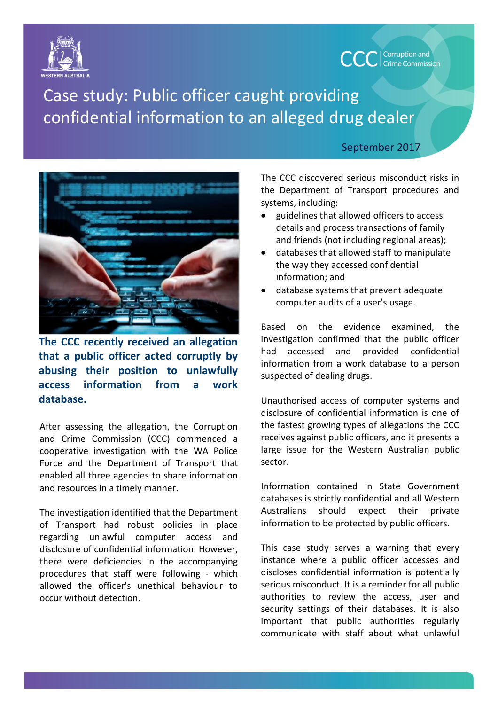

Case study: Public officer caught providing confidential information to an alleged drug dealer



**The CCC recently received an allegation that a public officer acted corruptly by abusing their position to unlawfully access information from a work database.**

After assessing the allegation, the Corruption and Crime Commission (CCC) commenced a cooperative investigation with the WA Police Force and the Department of Transport that enabled all three agencies to share information and resources in a timely manner.

The investigation identified that the Department of Transport had robust policies in place regarding unlawful computer access and disclosure of confidential information. However, there were deficiencies in the accompanying procedures that staff were following - which allowed the officer's unethical behaviour to occur without detection.

## September 2017

**CCC** | Corruption and

The CCC discovered serious misconduct risks in the Department of Transport procedures and systems, including:

- guidelines that allowed officers to access details and process transactions of family and friends (not including regional areas);
- databases that allowed staff to manipulate the way they accessed confidential information; and
- database systems that prevent adequate computer audits of a user's usage.

Based on the evidence examined, the investigation confirmed that the public officer had accessed and provided confidential information from a work database to a person suspected of dealing drugs.

Unauthorised access of computer systems and disclosure of confidential information is one of the fastest growing types of allegations the CCC receives against public officers, and it presents a large issue for the Western Australian public sector.

Information contained in State Government databases is strictly confidential and all Western Australians should expect their private information to be protected by public officers.

This case study serves a warning that every instance where a public officer accesses and discloses confidential information is potentially serious misconduct. It is a reminder for all public authorities to review the access, user and security settings of their databases. It is also important that public authorities regularly communicate with staff about what unlawful

|<br>|-